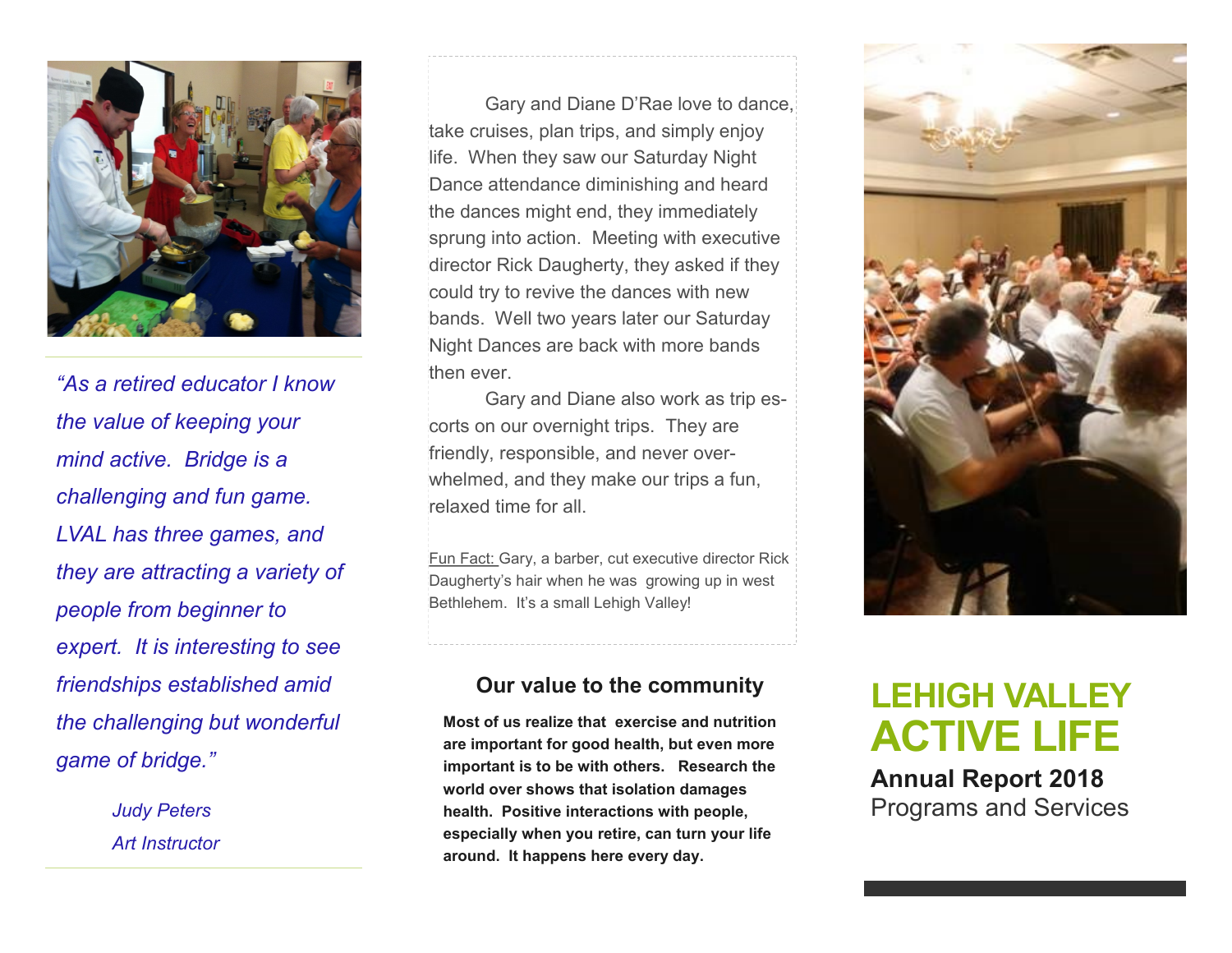

*"As a retired educator I know the value of keeping your mind active. Bridge is a challenging and fun game. LVAL has three games, and they are attracting a variety of people from beginner to expert. It is interesting to see friendships established amid the challenging but wonderful game of bridge."* 

> *Judy Peters Art Instructor*

Gary and Diane D'Rae love to dance, take cruises, plan trips, and simply enjoy life. When they saw our Saturday Night Dance attendance diminishing and heard the dances might end, they immediately sprung into action. Meeting with executive director Rick Daugherty, they asked if they could try to revive the dances with new bands. Well two years later our Saturday Night Dances are back with more bands then ever.

Gary and Diane also work as trip escorts on our overnight trips. They are friendly, responsible, and never overwhelmed, and they make our trips a fun, relaxed time for all.

Fun Fact: Gary, a barber, cut executive director Rick Daugherty's hair when he was growing up in west Bethlehem. It's a small Lehigh Valley!

#### **Our value to the community**

**Most of us realize that exercise and nutrition are important for good health, but even more important is to be with others. Research the world over shows that isolation damages health. Positive interactions with people, especially when you retire, can turn your life around. It happens here every day.** 



# **LEHIGH VALLEY ACTIVE LIFE**

**Annual Report 2018** Programs and Services